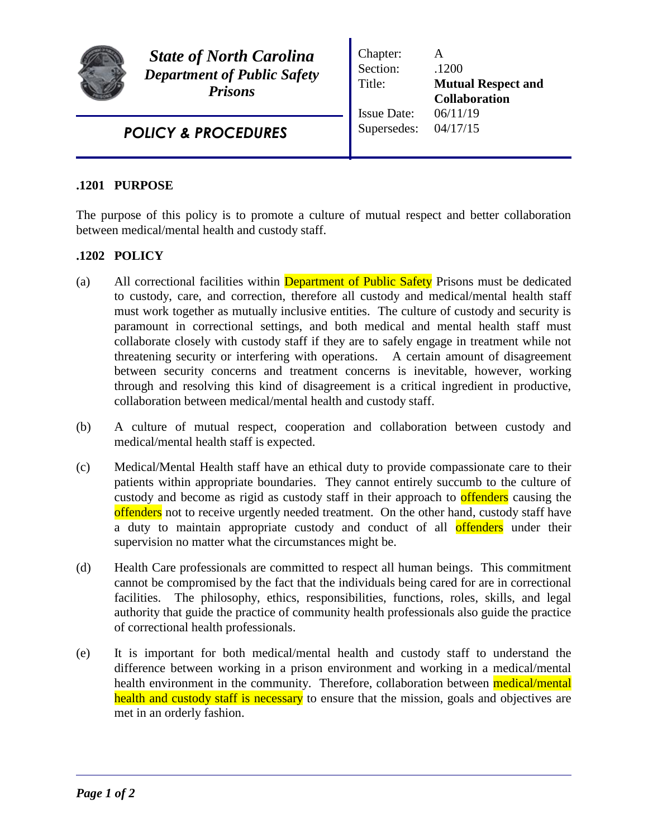

*State of North Carolina Department of Public Safety Prisons*

Chapter: A Section: .1200 Title: **Mutual Respect and Collaboration** Issue Date: 06/11/19 Supersedes: 04/17/15

*POLICY & PROCEDURES*

## **.1201 PURPOSE**

The purpose of this policy is to promote a culture of mutual respect and better collaboration between medical/mental health and custody staff.

## **.1202 POLICY**

- (a) All correctional facilities within **Department of Public Safety** Prisons must be dedicated to custody, care, and correction, therefore all custody and medical/mental health staff must work together as mutually inclusive entities. The culture of custody and security is paramount in correctional settings, and both medical and mental health staff must collaborate closely with custody staff if they are to safely engage in treatment while not threatening security or interfering with operations. A certain amount of disagreement between security concerns and treatment concerns is inevitable, however, working through and resolving this kind of disagreement is a critical ingredient in productive, collaboration between medical/mental health and custody staff.
- (b) A culture of mutual respect, cooperation and collaboration between custody and medical/mental health staff is expected.
- (c) Medical/Mental Health staff have an ethical duty to provide compassionate care to their patients within appropriate boundaries. They cannot entirely succumb to the culture of custody and become as rigid as custody staff in their approach to **offenders** causing the offenders not to receive urgently needed treatment. On the other hand, custody staff have a duty to maintain appropriate custody and conduct of all offenders under their supervision no matter what the circumstances might be.
- (d) Health Care professionals are committed to respect all human beings. This commitment cannot be compromised by the fact that the individuals being cared for are in correctional facilities. The philosophy, ethics, responsibilities, functions, roles, skills, and legal authority that guide the practice of community health professionals also guide the practice of correctional health professionals.
- (e) It is important for both medical/mental health and custody staff to understand the difference between working in a prison environment and working in a medical/mental health environment in the community. Therefore, collaboration between medical/mental health and custody staff is necessary to ensure that the mission, goals and objectives are met in an orderly fashion.